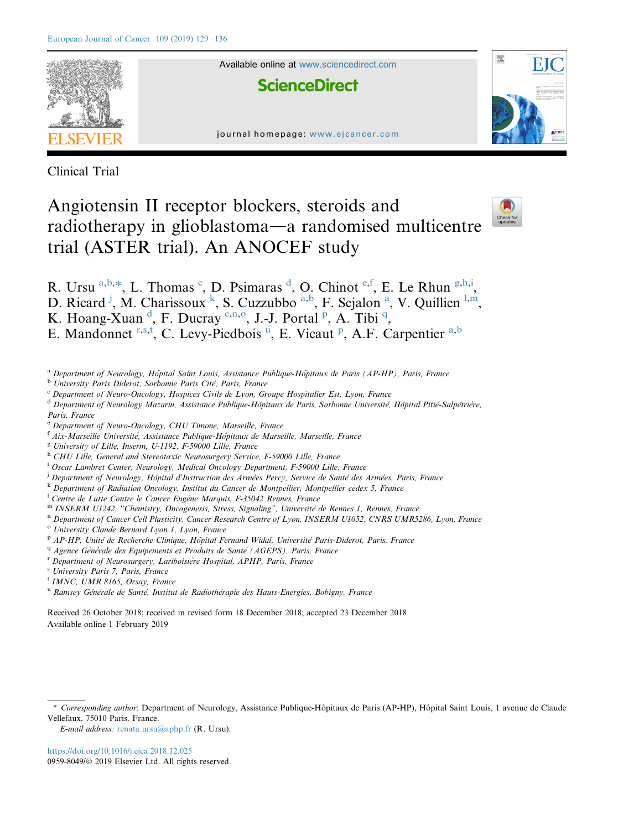

Available online at [www.sciencedirect.com](www.sciencedirect.com/science/journal/09598049)

**ScienceDirect** 





Clinical Trial

# Angiotensin II receptor blockers, steroids and radiotherapy in glioblastoma—a randomised multicentre trial (ASTER trial). An ANOCEF study



- R. Ursu <sup>a,b,\*</sup>, L. Thomas <sup>c</sup>, D. Psimaras <sup>d</sup>, O. Chinot <sup>e,f</sup>, E. Le Rhun <sup>g,h,i</sup>,
- D. Ricard<sup>j</sup>, M. Charissoux<sup>k</sup>, S. Cuzzubbo<sup>a,b</sup>, F. Sejalon<sup>a</sup>, V. Quillien<sup>1,m</sup>,
- K. Hoang-Xuan <sup>d</sup>, F. Ducray <sup>c,n,o</sup>, J.-J. Portal <sup>p</sup>, A. Tibi <sup>q</sup>,
- E. Mandonnet r,s,t, C. Levy-Piedbois<sup>u</sup>, E. Vicaut<sup>p</sup>, A.F. Carpentier<sup>a,b</sup>
- <sup>a</sup> Department of Neurology, Hôpital Saint Louis, Assistance Publique-Hôpitaux de Paris (AP-HP), Paris, France
- <sup>b</sup> University Paris Diderot, Sorbonne Paris Cité, Paris, France
- <sup>c</sup> Department of Neuro-Oncology, Hospices Civils de Lyon, Groupe Hospitalier Est, Lyon, France
- <sup>d</sup> Department of Neurology Mazarin, Assistance Publique-Hôpitaux de Paris, Sorbonne Université, Hôpital Pitié-Salpêtrière,
- Paris, France
- <sup>e</sup> Department of Neuro-Oncology, CHU Timone, Marseille, France
- $f$  Aix-Marseille Université, Assistance Publique-Hopitaux de Marseille, Marseille, France
- $g$  University of Lille, Inserm, U-1192, F-59000 Lille, France
- <sup>h</sup> CHU Lille, General and Stereotaxic Neurosurgery Service, F-59000 Lille, France
- <sup>i</sup> Oscar Lambret Center, Neurology, Medical Oncology Department, F-59000 Lille, France
- <sup>j</sup> Department of Neurology, Hôpital d'Instruction des Armées Percy, Service de Santé des Armées, Paris, France
- k Department of Radiation Oncology, Institut du Cancer de Montpellier, Montpellier cedex 5, France
- $^{1}$  Centre de Lutte Contre le Cancer Eugène Marquis, F-35042 Rennes, France
- m INSERM U1242, "Chemistry, Oncogenesis, Stress, Signaling", Université de Rennes 1, Rennes, France
- n Department of Cancer Cell Plasticity, Cancer Research Centre of Lyon, INSERM U1052, CNRS UMR5286, Lyon, France
- <sup>o</sup> University Claude Bernard Lyon 1, Lyon, France
- P AP-HP, Unité de Recherche Clinique, Hópital Fernand Widal, Université Paris-Diderot, Paris, France
- $q$  Agence Générale des Equipements et Produits de Santé (AGEPS), Paris, France
- <sup>r</sup> Department of Neurosurgery, Lariboisière Hospital, APHP, Paris, France
- <sup>s</sup> University Paris 7, Paris, France
- <sup>t</sup> IMNC, UMR 8165, Orsay, France
- <sup>u</sup> Ramsey Générale de Santé, Institut de Radiothérapie des Hauts-Energies, Bobigny, France

Received 26 October 2018; received in revised form 18 December 2018; accepted 23 December 2018 Available online 1 February 2019

E-mail address: [renata.ursu@aphp.fr](mailto:renata.ursu@aphp.fr) (R. Ursu).

<sup>\*</sup> Corresponding author: Department of Neurology, Assistance Publique-Hôpitaux de Paris (AP-HP), Hôpital Saint Louis, 1 avenue de Claude Vellefaux, 75010 Paris. France.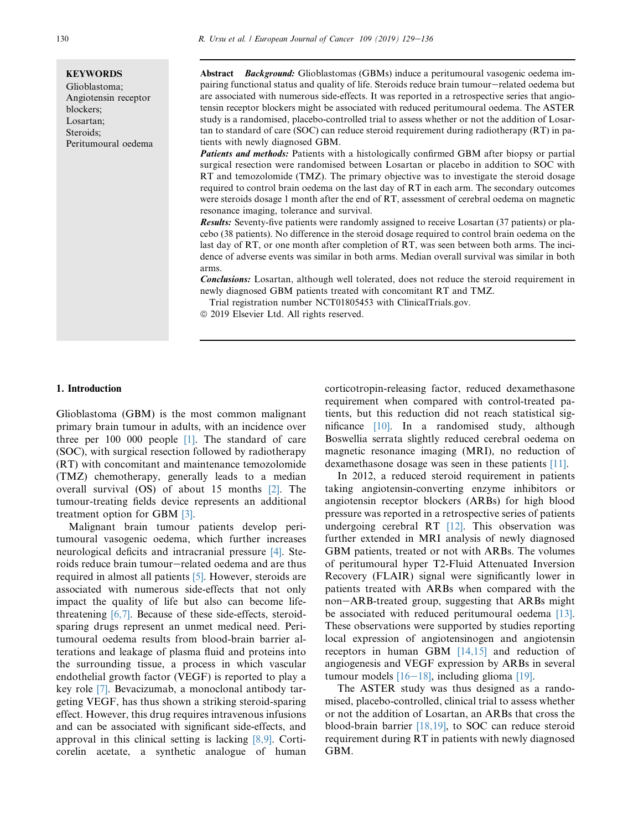#### **KEYWORDS**

Glioblastoma; Angiotensin receptor blockers; Losartan; Steroids; Peritumoural oedema

Abstract Background: Glioblastomas (GBMs) induce a peritumoural vasogenic oedema impairing functional status and quality of life. Steroids reduce brain tumour—related oedema but are associated with numerous side-effects. It was reported in a retrospective series that angiotensin receptor blockers might be associated with reduced peritumoural oedema. The ASTER study is a randomised, placebo-controlled trial to assess whether or not the addition of Losartan to standard of care (SOC) can reduce steroid requirement during radiotherapy (RT) in patients with newly diagnosed GBM.

**Patients and methods:** Patients with a histologically confirmed GBM after biopsy or partial surgical resection were randomised between Losartan or placebo in addition to SOC with RT and temozolomide (TMZ). The primary objective was to investigate the steroid dosage required to control brain oedema on the last day of RT in each arm. The secondary outcomes were steroids dosage 1 month after the end of RT, assessment of cerebral oedema on magnetic resonance imaging, tolerance and survival.

Results: Seventy-five patients were randomly assigned to receive Losartan (37 patients) or placebo (38 patients). No difference in the steroid dosage required to control brain oedema on the last day of RT, or one month after completion of RT, was seen between both arms. The incidence of adverse events was similar in both arms. Median overall survival was similar in both arms.

**Conclusions:** Losartan, although well tolerated, does not reduce the steroid requirement in newly diagnosed GBM patients treated with concomitant RT and TMZ.

Trial registration number NCT01805453 with ClinicalTrials.gov.

 $© 2019 Elsevier Ltd. All rights reserved.$ 

#### 1. Introduction

Glioblastoma (GBM) is the most common malignant primary brain tumour in adults, with an incidence over three per 100 000 people [\[1\]](#page-7-0). The standard of care (SOC), with surgical resection followed by radiotherapy (RT) with concomitant and maintenance temozolomide (TMZ) chemotherapy, generally leads to a median overall survival (OS) of about 15 months [\[2\]](#page-7-0). The tumour-treating fields device represents an additional treatment option for GBM [\[3\]](#page-7-0).

Malignant brain tumour patients develop peritumoural vasogenic oedema, which further increases neurological deficits and intracranial pressure [\[4\]](#page-7-0). Steroids reduce brain tumour-related oedema and are thus required in almost all patients [\[5\].](#page-7-0) However, steroids are associated with numerous side-effects that not only impact the quality of life but also can become lifethreatening [\[6,7\]](#page-7-0). Because of these side-effects, steroidsparing drugs represent an unmet medical need. Peritumoural oedema results from blood-brain barrier alterations and leakage of plasma fluid and proteins into the surrounding tissue, a process in which vascular endothelial growth factor (VEGF) is reported to play a key role [\[7\].](#page-7-0) Bevacizumab, a monoclonal antibody targeting VEGF, has thus shown a striking steroid-sparing effect. However, this drug requires intravenous infusions and can be associated with significant side-effects, and approval in this clinical setting is lacking [\[8,9\].](#page-7-0) Corticorelin acetate, a synthetic analogue of human corticotropin-releasing factor, reduced dexamethasone requirement when compared with control-treated patients, but this reduction did not reach statistical significance [\[10\].](#page-7-0) In a randomised study, although Boswellia serrata slightly reduced cerebral oedema on magnetic resonance imaging (MRI), no reduction of dexamethasone dosage was seen in these patients [\[11\]](#page-7-0).

In 2012, a reduced steroid requirement in patients taking angiotensin-converting enzyme inhibitors or angiotensin receptor blockers (ARBs) for high blood pressure was reported in a retrospective series of patients undergoing cerebral RT  $[12]$ . This observation was further extended in MRI analysis of newly diagnosed GBM patients, treated or not with ARBs. The volumes of peritumoural hyper T2-Fluid Attenuated Inversion Recovery (FLAIR) signal were significantly lower in patients treated with ARBs when compared with the non-ARB-treated group, suggesting that ARBs might be associated with reduced peritumoural oedema [\[13\]](#page-7-0). These observations were supported by studies reporting local expression of angiotensinogen and angiotensin receptors in human GBM [\[14,15\]](#page-7-0) and reduction of angiogenesis and VEGF expression by ARBs in several tumour models  $[16-18]$  $[16-18]$  $[16-18]$ , including glioma  $[19]$ .

The ASTER study was thus designed as a randomised, placebo-controlled, clinical trial to assess whether or not the addition of Losartan, an ARBs that cross the blood-brain barrier [\[18,19\]](#page-7-0), to SOC can reduce steroid requirement during RT in patients with newly diagnosed GBM.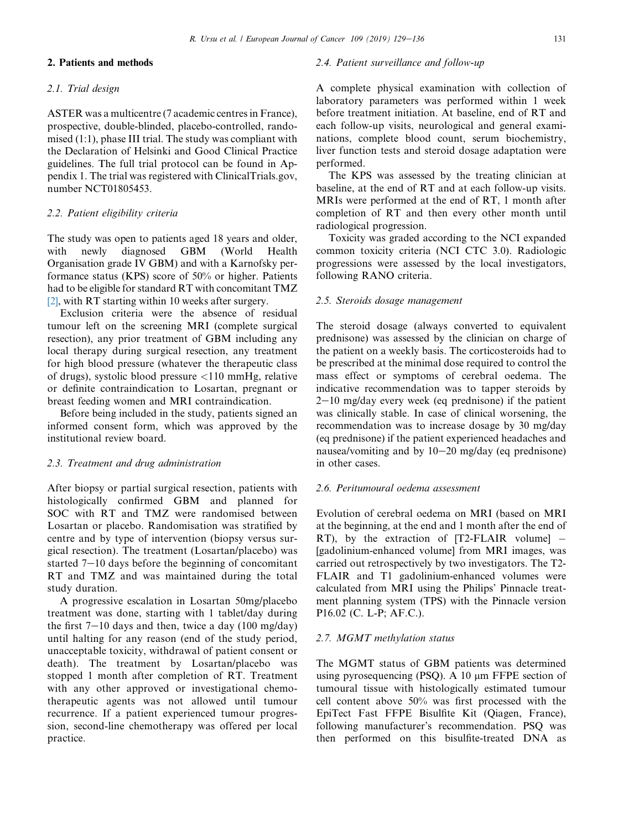# 2. Patients and methods

## 2.1. Trial design

ASTER was a multicentre (7 academic centres in France), prospective, double-blinded, placebo-controlled, randomised (1:1), phase III trial. The study was compliant with the Declaration of Helsinki and Good Clinical Practice guidelines. The full trial protocol can be found in Appendix 1. The trial was registered with ClinicalTrials.gov, number NCT01805453.

## 2.2. Patient eligibility criteria

The study was open to patients aged 18 years and older, with newly diagnosed GBM (World Health Organisation grade IV GBM) and with a Karnofsky performance status (KPS) score of 50% or higher. Patients had to be eligible for standard RT with concomitant TMZ [\[2\],](#page-7-0) with RT starting within 10 weeks after surgery.

Exclusion criteria were the absence of residual tumour left on the screening MRI (complete surgical resection), any prior treatment of GBM including any local therapy during surgical resection, any treatment for high blood pressure (whatever the therapeutic class of drugs), systolic blood pressure <110 mmHg, relative or definite contraindication to Losartan, pregnant or breast feeding women and MRI contraindication.

Before being included in the study, patients signed an informed consent form, which was approved by the institutional review board.

#### 2.3. Treatment and drug administration

After biopsy or partial surgical resection, patients with histologically confirmed GBM and planned for SOC with RT and TMZ were randomised between Losartan or placebo. Randomisation was stratified by centre and by type of intervention (biopsy versus surgical resection). The treatment (Losartan/placebo) was started  $7-10$  days before the beginning of concomitant RT and TMZ and was maintained during the total study duration.

A progressive escalation in Losartan 50mg/placebo treatment was done, starting with 1 tablet/day during the first  $7-10$  days and then, twice a day (100 mg/day) until halting for any reason (end of the study period, unacceptable toxicity, withdrawal of patient consent or death). The treatment by Losartan/placebo was stopped 1 month after completion of RT. Treatment with any other approved or investigational chemotherapeutic agents was not allowed until tumour recurrence. If a patient experienced tumour progression, second-line chemotherapy was offered per local practice.

## 2.4. Patient surveillance and follow-up

A complete physical examination with collection of laboratory parameters was performed within 1 week before treatment initiation. At baseline, end of RT and each follow-up visits, neurological and general examinations, complete blood count, serum biochemistry, liver function tests and steroid dosage adaptation were performed.

The KPS was assessed by the treating clinician at baseline, at the end of RT and at each follow-up visits. MRIs were performed at the end of RT, 1 month after completion of RT and then every other month until radiological progression.

Toxicity was graded according to the NCI expanded common toxicity criteria (NCI CTC 3.0). Radiologic progressions were assessed by the local investigators, following RANO criteria.

#### 2.5. Steroids dosage management

The steroid dosage (always converted to equivalent prednisone) was assessed by the clinician on charge of the patient on a weekly basis. The corticosteroids had to be prescribed at the minimal dose required to control the mass effect or symptoms of cerebral oedema. The indicative recommendation was to tapper steroids by  $2-10$  mg/day every week (eq prednisone) if the patient was clinically stable. In case of clinical worsening, the recommendation was to increase dosage by 30 mg/day (eq prednisone) if the patient experienced headaches and nausea/vomiting and by  $10-20$  mg/day (eq prednisone) in other cases.

# 2.6. Peritumoural oedema assessment

Evolution of cerebral oedema on MRI (based on MRI at the beginning, at the end and 1 month after the end of RT), by the extraction of  $[T2-FLAIR$  volume $]$  – [gadolinium-enhanced volume] from MRI images, was carried out retrospectively by two investigators. The T2- FLAIR and T1 gadolinium-enhanced volumes were calculated from MRI using the Philips' Pinnacle treatment planning system (TPS) with the Pinnacle version P16.02 (C. L-P; AF.C.).

#### 2.7. MGMT methylation status

The MGMT status of GBM patients was determined using pyrosequencing (PSQ). A  $10 \mu m$  FFPE section of tumoural tissue with histologically estimated tumour cell content above 50% was first processed with the EpiTect Fast FFPE Bisulfite Kit (Qiagen, France), following manufacturer's recommendation. PSQ was then performed on this bisulfite-treated DNA as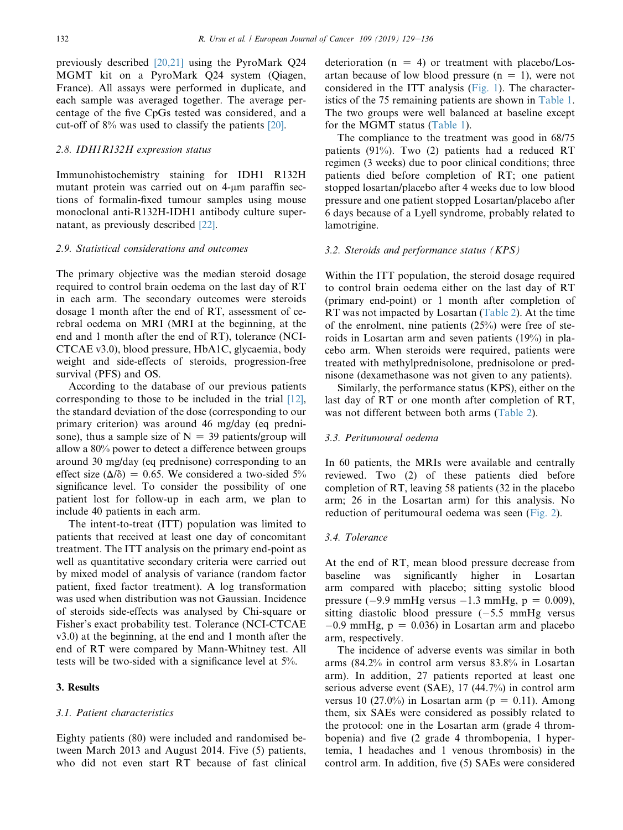previously described [\[20,21\]](#page-7-0) using the PyroMark Q24 MGMT kit on a PyroMark Q24 system (Qiagen, France). All assays were performed in duplicate, and each sample was averaged together. The average percentage of the five CpGs tested was considered, and a cut-off of 8% was used to classify the patients [\[20\]](#page-7-0).

## 2.8. IDH1R132H expression status

Immunohistochemistry staining for IDH1 R132H mutant protein was carried out on  $4\text{-}\mu\text{m}$  paraffin sections of formalin-fixed tumour samples using mouse monoclonal anti-R132H-IDH1 antibody culture supernatant, as previously described [\[22\].](#page-7-0)

#### 2.9. Statistical considerations and outcomes

The primary objective was the median steroid dosage required to control brain oedema on the last day of RT in each arm. The secondary outcomes were steroids dosage 1 month after the end of RT, assessment of cerebral oedema on MRI (MRI at the beginning, at the end and 1 month after the end of RT), tolerance (NCI-CTCAE v3.0), blood pressure, HbA1C, glycaemia, body weight and side-effects of steroids, progression-free survival (PFS) and OS.

According to the database of our previous patients corresponding to those to be included in the trial [\[12\]](#page-7-0), the standard deviation of the dose (corresponding to our primary criterion) was around 46 mg/day (eq prednisone), thus a sample size of  $N = 39$  patients/group will allow a 80% power to detect a difference between groups around 30 mg/day (eq prednisone) corresponding to an effect size  $(\Delta/\delta) = 0.65$ . We considered a two-sided 5% significance level. To consider the possibility of one patient lost for follow-up in each arm, we plan to include 40 patients in each arm.

The intent-to-treat (ITT) population was limited to patients that received at least one day of concomitant treatment. The ITT analysis on the primary end-point as well as quantitative secondary criteria were carried out by mixed model of analysis of variance (random factor patient, fixed factor treatment). A log transformation was used when distribution was not Gaussian. Incidence of steroids side-effects was analysed by Chi-square or Fisher's exact probability test. Tolerance (NCI-CTCAE v3.0) at the beginning, at the end and 1 month after the end of RT were compared by Mann-Whitney test. All tests will be two-sided with a significance level at 5%.

#### 3. Results

#### 3.1. Patient characteristics

Eighty patients (80) were included and randomised between March 2013 and August 2014. Five (5) patients, who did not even start RT because of fast clinical

deterioration  $(n = 4)$  or treatment with placebo/Losartan because of low blood pressure  $(n = 1)$ , were not considered in the ITT analysis ([Fig. 1\)](#page-4-0). The characteristics of the 75 remaining patients are shown in [Table 1](#page-4-0). The two groups were well balanced at baseline except for the MGMT status ([Table 1](#page-4-0)).

The compliance to the treatment was good in 68/75 patients (91%). Two (2) patients had a reduced RT regimen (3 weeks) due to poor clinical conditions; three patients died before completion of RT; one patient stopped losartan/placebo after 4 weeks due to low blood pressure and one patient stopped Losartan/placebo after 6 days because of a Lyell syndrome, probably related to lamotrigine.

#### 3.2. Steroids and performance status (KPS)

Within the ITT population, the steroid dosage required to control brain oedema either on the last day of RT (primary end-point) or 1 month after completion of RT was not impacted by Losartan ([Table 2\)](#page-5-0). At the time of the enrolment, nine patients  $(25\%)$  were free of steroids in Losartan arm and seven patients (19%) in placebo arm. When steroids were required, patients were treated with methylprednisolone, prednisolone or prednisone (dexamethasone was not given to any patients).

Similarly, the performance status (KPS), either on the last day of RT or one month after completion of RT, was not different between both arms [\(Table 2\)](#page-5-0).

## 3.3. Peritumoural oedema

In 60 patients, the MRIs were available and centrally reviewed. Two (2) of these patients died before completion of RT, leaving 58 patients (32 in the placebo arm; 26 in the Losartan arm) for this analysis. No reduction of peritumoural oedema was seen ([Fig. 2](#page-5-0)).

# 3.4. Tolerance

At the end of RT, mean blood pressure decrease from baseline was significantly higher in Losartan arm compared with placebo; sitting systolic blood pressure (-9.9 mmHg versus  $-1.3$  mmHg, p = 0.009), sitting diastolic blood pressure  $(-5.5 \text{ mmHg} \text{ versus}$  $-0.9$  mmHg,  $p = 0.036$ ) in Losartan arm and placebo arm, respectively.

The incidence of adverse events was similar in both arms (84.2% in control arm versus 83.8% in Losartan arm). In addition, 27 patients reported at least one serious adverse event (SAE), 17 (44.7%) in control arm versus 10 (27.0%) in Losartan arm ( $p = 0.11$ ). Among them, six SAEs were considered as possibly related to the protocol: one in the Losartan arm (grade 4 thrombopenia) and five (2 grade 4 thrombopenia, 1 hypertemia, 1 headaches and 1 venous thrombosis) in the control arm. In addition, five (5) SAEs were considered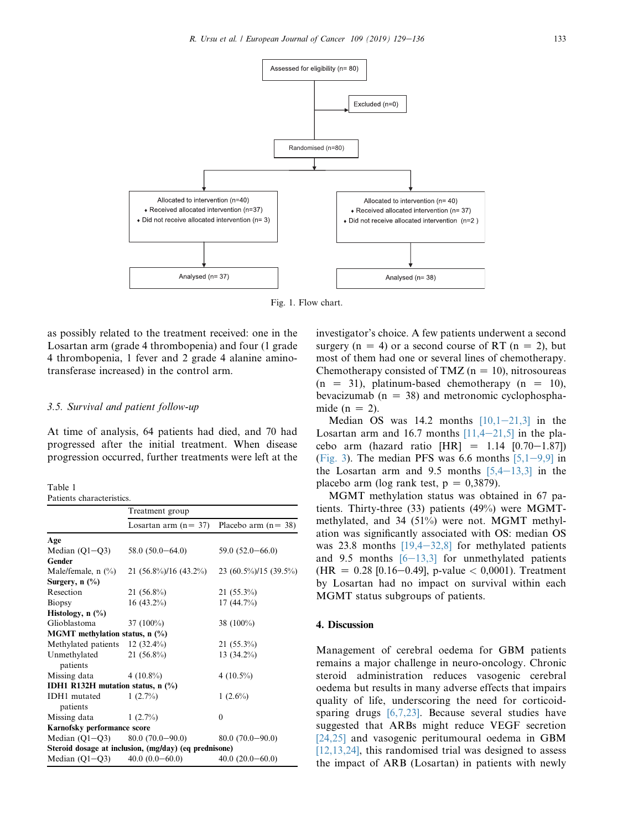<span id="page-4-0"></span>

Fig. 1. Flow chart.

as possibly related to the treatment received: one in the Losartan arm (grade 4 thrombopenia) and four (1 grade 4 thrombopenia, 1 fever and 2 grade 4 alanine aminotransferase increased) in the control arm.

## 3.5. Survival and patient follow-up

At time of analysis, 64 patients had died, and 70 had progressed after the initial treatment. When disease progression occurred, further treatments were left at the

Table 1 Patients characteristics.

| r aucins characterisues.                   |                                                       |                       |  |  |
|--------------------------------------------|-------------------------------------------------------|-----------------------|--|--|
|                                            | Treatment group                                       |                       |  |  |
|                                            | Losartan arm $(n=37)$                                 | Placebo arm $(n=38)$  |  |  |
| Age                                        |                                                       |                       |  |  |
| Median $(Q1-Q3)$                           | $58.0(50.0-64.0)$                                     | $59.0(52.0 - 66.0)$   |  |  |
| Gender                                     |                                                       |                       |  |  |
| Male/female, $n$ (%)                       | 21 $(56.8\%)/16$ $(43.2\%)$                           | 23 (60.5%)/15 (39.5%) |  |  |
| Surgery, $n$ $\left(\frac{0}{0}\right)$    |                                                       |                       |  |  |
| Resection                                  | $21(56.8\%)$                                          | $21(55.3\%)$          |  |  |
| <b>Biopsy</b>                              | $16(43.2\%)$                                          | 17(44.7%)             |  |  |
| Histology, $n$ $\left(\frac{9}{6}\right)$  |                                                       |                       |  |  |
| Glioblastoma                               | 37 $(100\%)$                                          | 38 $(100\%)$          |  |  |
| MGMT methylation status, n (%)             |                                                       |                       |  |  |
| Methylated patients 12 (32.4%)             |                                                       | $21(55.3\%)$          |  |  |
| Unmethylated                               | $21(56.8\%)$                                          | 13 $(34.2\%)$         |  |  |
| patients                                   |                                                       |                       |  |  |
| Missing data                               | 4 $(10.8\%)$                                          | 4 $(10.5\%)$          |  |  |
| <b>IDH1 R132H</b> mutation status, $n$ (%) |                                                       |                       |  |  |
| <b>IDH1</b> mutated                        | $1(2.7\%)$                                            | $1(2.6\%)$            |  |  |
| patients                                   |                                                       |                       |  |  |
| Missing data                               | $1(2.7\%)$                                            | $\mathbf{0}$          |  |  |
| Karnofsky performance score                |                                                       |                       |  |  |
| Median $(Q1-Q3)$ 80.0 $(70.0-90.0)$        |                                                       | $80.0(70.0-90.0)$     |  |  |
|                                            | Steroid dosage at inclusion, (mg/day) (eq prednisone) |                       |  |  |
| Median $(Q1-Q3)$                           | $40.0(0.0-60.0)$                                      | $40.0(20.0-60.0)$     |  |  |

investigator's choice. A few patients underwent a second surgery (n = 4) or a second course of RT (n = 2), but most of them had one or several lines of chemotherapy. Chemotherapy consisted of TMZ ( $n = 10$ ), nitrosoureas  $(n = 31)$ , platinum-based chemotherapy  $(n = 10)$ , bevacizumab ( $n = 38$ ) and metronomic cyclophosphamide ( $n = 2$ ).

Median OS was  $14.2$  months  $[10,1-21,3]$  $[10,1-21,3]$  $[10,1-21,3]$  in the Losartan arm and 16.7 months  $[11,4-21,5]$  $[11,4-21,5]$  $[11,4-21,5]$  in the placebo arm (hazard ratio  $|HR| = 1.14$   $[0.70-1.87]$ ) ([Fig. 3\)](#page-6-0). The median PFS was 6.6 months  $[5,1-9,9]$  $[5,1-9,9]$  $[5,1-9,9]$  in the Losartan arm and 9.5 months  $[5,4-13,3]$  $[5,4-13,3]$  $[5,4-13,3]$  in the placebo arm (log rank test,  $p = 0,3879$ ).

MGMT methylation status was obtained in 67 patients. Thirty-three (33) patients (49%) were MGMTmethylated, and 34 (51%) were not. MGMT methylation was significantly associated with OS: median OS was 23.8 months  $[19,4-32,8]$  $[19,4-32,8]$  $[19,4-32,8]$  for methylated patients and 9.5 months  $[6-13,3]$  $[6-13,3]$  $[6-13,3]$  for unmethylated patients  $(HR = 0.28$  [0.16-0.49], p-value < 0,0001). Treatment by Losartan had no impact on survival within each MGMT status subgroups of patients.

#### 4. Discussion

Management of cerebral oedema for GBM patients remains a major challenge in neuro-oncology. Chronic steroid administration reduces vasogenic cerebral oedema but results in many adverse effects that impairs quality of life, underscoring the need for corticoidsparing drugs [\[6,7,23\]](#page-7-0). Because several studies have suggested that ARBs might reduce VEGF secretion [\[24,25\]](#page-7-0) and vasogenic peritumoural oedema in GBM  $[12,13,24]$ , this randomised trial was designed to assess the impact of ARB (Losartan) in patients with newly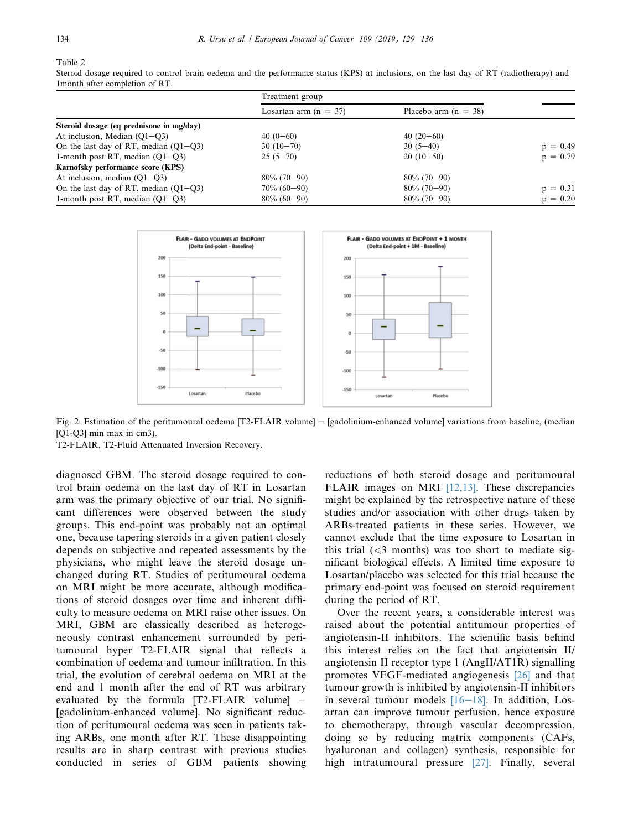# <span id="page-5-0"></span>Table 2

Steroid dosage required to control brain oedema and the performance status (KPS) at inclusions, on the last day of RT (radiotherapy) and 1month after completion of RT.

|                                          | Treatment group         |                        |            |
|------------------------------------------|-------------------------|------------------------|------------|
|                                          | Losartan arm $(n = 37)$ | Placebo arm $(n = 38)$ |            |
| Steroïd dosage (eq prednisone in mg/day) |                         |                        |            |
| At inclusion, Median $(O1-O3)$           | $40(0-60)$              | $40(20-60)$            |            |
| On the last day of RT, median $(Q1-Q3)$  | $30(10-70)$             | $30(5-40)$             | $p = 0.49$ |
| 1-month post RT, median $(O1 - O3)$      | $25(5-70)$              | $20(10-50)$            | $p = 0.79$ |
| Karnofsky performance score (KPS)        |                         |                        |            |
| At inclusion, median $(O1-O3)$           | $80\%$ (70-90)          | $80\%$ (70-90)         |            |
| On the last day of RT, median $(Q1-Q3)$  | $70\% (60 - 90)$        | $80\%$ (70-90)         | $p = 0.31$ |
| 1-month post RT, median $(O1 - O3)$      | $80\% (60 - 90)$        | $80\%$ (70-90)         | $p = 0.20$ |



Fig. 2. Estimation of the peritumoural oedema [T2-FLAIR volume] – [gadolinium-enhanced volume] variations from baseline, (median [Q1-Q3] min max in cm3).

T2-FLAIR, T2-Fluid Attenuated Inversion Recovery.

diagnosed GBM. The steroid dosage required to control brain oedema on the last day of RT in Losartan arm was the primary objective of our trial. No significant differences were observed between the study groups. This end-point was probably not an optimal one, because tapering steroids in a given patient closely depends on subjective and repeated assessments by the physicians, who might leave the steroid dosage unchanged during RT. Studies of peritumoural oedema on MRI might be more accurate, although modifications of steroid dosages over time and inherent difficulty to measure oedema on MRI raise other issues. On MRI, GBM are classically described as heterogeneously contrast enhancement surrounded by peritumoural hyper T2-FLAIR signal that reflects a combination of oedema and tumour infiltration. In this trial, the evolution of cerebral oedema on MRI at the end and 1 month after the end of RT was arbitrary evaluated by the formula  $[T2-FLAIR$  volume] – [gadolinium-enhanced volume]. No significant reduction of peritumoural oedema was seen in patients taking ARBs, one month after RT. These disappointing results are in sharp contrast with previous studies conducted in series of GBM patients showing reductions of both steroid dosage and peritumoural FLAIR images on MRI [\[12,13\]](#page-7-0). These discrepancies might be explained by the retrospective nature of these studies and/or association with other drugs taken by ARBs-treated patients in these series. However, we cannot exclude that the time exposure to Losartan in this trial  $(<$ 3 months) was too short to mediate significant biological effects. A limited time exposure to Losartan/placebo was selected for this trial because the primary end-point was focused on steroid requirement during the period of RT.

Over the recent years, a considerable interest was raised about the potential antitumour properties of angiotensin-II inhibitors. The scientific basis behind this interest relies on the fact that angiotensin II/ angiotensin II receptor type 1 (AngII/AT1R) signalling promotes VEGF-mediated angiogenesis [\[26\]](#page-7-0) and that tumour growth is inhibited by angiotensin-II inhibitors in several tumour models  $[16-18]$  $[16-18]$  $[16-18]$ . In addition, Losartan can improve tumour perfusion, hence exposure to chemotherapy, through vascular decompression, doing so by reducing matrix components (CAFs, hyaluronan and collagen) synthesis, responsible for high intratumoural pressure [\[27\]](#page-7-0). Finally, several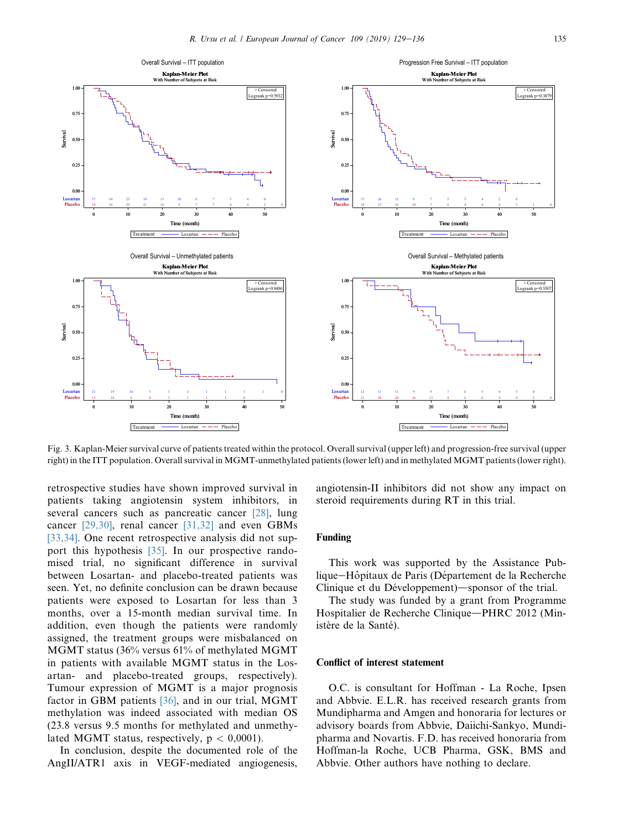<span id="page-6-0"></span>

Fig. 3. Kaplan-Meier survival curve of patients treated within the protocol. Overall survival (upper left) and progression-free survival (upper right) in the ITT population. Overall survival in MGMT-unmethylated patients (lower left) and in methylated MGMT patients (lower right).

retrospective studies have shown improved survival in patients taking angiotensin system inhibitors, in several cancers such as pancreatic cancer [\[28\]](#page-7-0), lung cancer [\[29,30\]](#page-7-0), renal cancer [\[31,32\]](#page-7-0) and even GBMs [\[33,34\]](#page-7-0). One recent retrospective analysis did not support this hypothesis [\[35\]](#page-7-0). In our prospective randomised trial, no significant difference in survival between Losartan- and placebo-treated patients was seen. Yet, no definite conclusion can be drawn because patients were exposed to Losartan for less than 3 months, over a 15-month median survival time. In addition, even though the patients were randomly assigned, the treatment groups were misbalanced on MGMT status (36% versus 61% of methylated MGMT in patients with available MGMT status in the Losartan- and placebo-treated groups, respectively). Tumour expression of MGMT is a major prognosis factor in GBM patients [\[36\],](#page-7-0) and in our trial, MGMT methylation was indeed associated with median OS (23.8 versus 9.5 months for methylated and unmethylated MGMT status, respectively,  $p < 0.0001$ ).

In conclusion, despite the documented role of the AngII/ATR1 axis in VEGF-mediated angiogenesis, angiotensin-II inhibitors did not show any impact on steroid requirements during RT in this trial.

#### Funding

This work was supported by the Assistance Publique-Hôpitaux de Paris (Département de la Recherche Clinique et du Développement)—sponsor of the trial.

The study was funded by a grant from Programme Hospitalier de Recherche Clinique—PHRC 2012 (Ministère de la Santé).

#### Conflict of interest statement

O.C. is consultant for Hoffman - La Roche, Ipsen and Abbvie. E.L.R. has received research grants from Mundipharma and Amgen and honoraria for lectures or advisory boards from Abbvie, Daiichi-Sankyo, Mundipharma and Novartis. F.D. has received honoraria from Hoffman-la Roche, UCB Pharma, GSK, BMS and Abbvie. Other authors have nothing to declare.